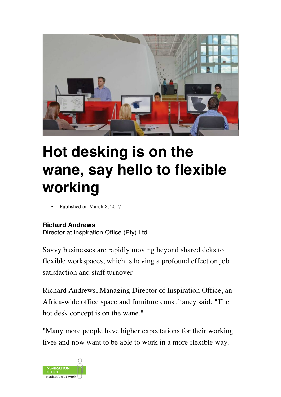

# **Hot desking is on the wane, say hello to flexible working**

Published on March 8, 2017

#### **Richard Andrews**

Director at Inspiration Office (Pty) Ltd

Savvy businesses are rapidly moving beyond shared deks to flexible workspaces, which is having a profound effect on job satisfaction and staff turnover

Richard Andrews, Managing Director of Inspiration Office, an Africa-wide office space and furniture consultancy said: "The hot desk concept is on the wane."

"Many more people have higher expectations for their working lives and now want to be able to work in a more flexible way.

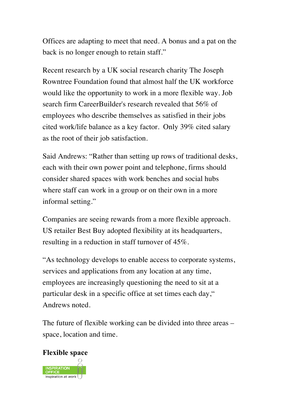Offices are adapting to meet that need. A bonus and a pat on the back is no longer enough to retain staff."

Recent research by a UK social research charity The Joseph Rowntree Foundation found that almost half the UK workforce would like the opportunity to work in a more flexible way. Job search firm CareerBuilder's research revealed that 56% of employees who describe themselves as satisfied in their jobs cited work/life balance as a key factor. Only 39% cited salary as the root of their job satisfaction.

Said Andrews: "Rather than setting up rows of traditional desks, each with their own power point and telephone, firms should consider shared spaces with work benches and social hubs where staff can work in a group or on their own in a more informal setting."

Companies are seeing rewards from a more flexible approach. US retailer Best Buy adopted flexibility at its headquarters, resulting in a reduction in staff turnover of 45%.

"As technology develops to enable access to corporate systems, services and applications from any location at any time, employees are increasingly questioning the need to sit at a particular desk in a specific office at set times each day," Andrews noted.

The future of flexible working can be divided into three areas – space, location and time.

# **Flexible space**

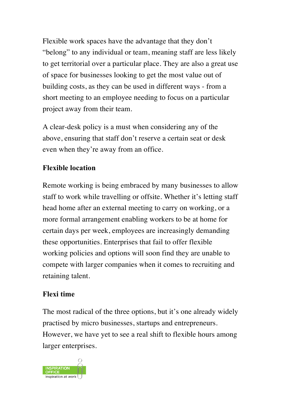Flexible work spaces have the advantage that they don't "belong" to any individual or team, meaning staff are less likely to get territorial over a particular place. They are also a great use of space for businesses looking to get the most value out of building costs, as they can be used in different ways - from a short meeting to an employee needing to focus on a particular project away from their team.

A clear-desk policy is a must when considering any of the above, ensuring that staff don't reserve a certain seat or desk even when they're away from an office.

# **Flexible location**

Remote working is being embraced by many businesses to allow staff to work while travelling or offsite. Whether it's letting staff head home after an external meeting to carry on working, or a more formal arrangement enabling workers to be at home for certain days per week, employees are increasingly demanding these opportunities. Enterprises that fail to offer flexible working policies and options will soon find they are unable to compete with larger companies when it comes to recruiting and retaining talent.

# **Flexi time**

The most radical of the three options, but it's one already widely practised by micro businesses, startups and entrepreneurs. However, we have yet to see a real shift to flexible hours among larger enterprises.